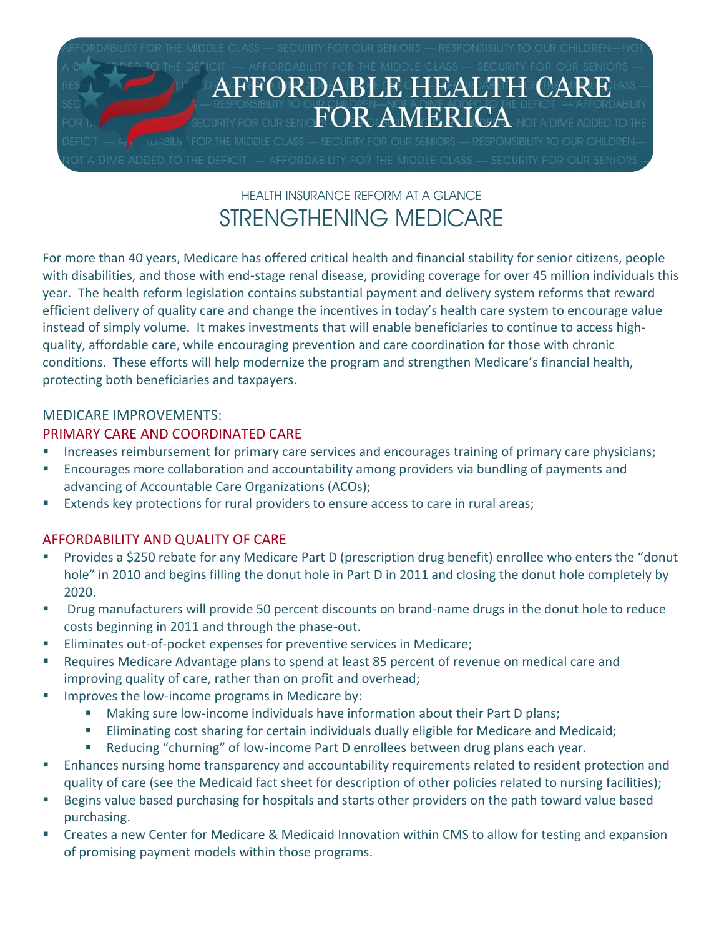

# HEALTH INSURANCE REFORM AT A GLANCE STRENGTHENING MEDICARE

For more than 40 years, Medicare has offered critical health and financial stability for senior citizens, people with disabilities, and those with end-stage renal disease, providing coverage for over 45 million individuals this year. The health reform legislation contains substantial payment and delivery system reforms that reward efficient delivery of quality care and change the incentives in today's health care system to encourage value instead of simply volume. It makes investments that will enable beneficiaries to continue to access highquality, affordable care, while encouraging prevention and care coordination for those with chronic conditions. These efforts will help modernize the program and strengthen Medicare's financial health, protecting both beneficiaries and taxpayers.

### MEDICARE IMPROVEMENTS:

## PRIMARY CARE AND COORDINATED CARE

- **Increases reimbursement for primary care services and encourages training of primary care physicians;**
- Encourages more collaboration and accountability among providers via bundling of payments and advancing of Accountable Care Organizations (ACOs);
- Extends key protections for rural providers to ensure access to care in rural areas;

# AFFORDABILITY AND QUALITY OF CARE

- **Provides a \$250 rebate for any Medicare Part D (prescription drug benefit) enrollee who enters the "donut Fig. 2014** hole" in 2010 and begins filling the donut hole in Part D in 2011 and closing the donut hole completely by 2020.
- Drug manufacturers will provide 50 percent discounts on brand-name drugs in the donut hole to reduce costs beginning in 2011 and through the phase-out.
- **Eliminates out-of-pocket expenses for preventive services in Medicare;**
- **EXECT** Requires Medicare Advantage plans to spend at least 85 percent of revenue on medical care and improving quality of care, rather than on profit and overhead;
- **IMPROVES the low-income programs in Medicare by:** 
	- Making sure low-income individuals have information about their Part D plans;
	- Eliminating cost sharing for certain individuals dually eligible for Medicare and Medicaid;
	- Reducing "churning" of low-income Part D enrollees between drug plans each year.
- Enhances nursing home transparency and accountability requirements related to resident protection and quality of care (see the Medicaid fact sheet for description of other policies related to nursing facilities);
- Begins value based purchasing for hospitals and starts other providers on the path toward value based purchasing.
- Creates a new Center for Medicare & Medicaid Innovation within CMS to allow for testing and expansion of promising payment models within those programs.